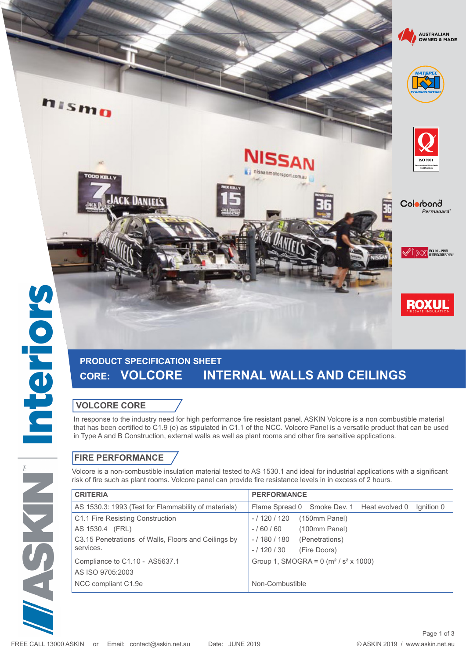MASKIN

hismo

# **PRODUCT SPECIFICATION SHEET CORE: VOLCORE INTERNAL WALLS AND CEILINGS**

### **VOLCORE CORE**

**ACK DANIELS** 

In response to the industry need for high performance fire resistant panel. ASKIN Volcore is a non combustible material that has been certified to C1.9 (e) as stipulated in C1.1 of the NCC. Volcore Panel is a versatile product that can be used in Type A and B Construction, external walls as well as plant rooms and other fire sensitive applications.

nissanmotorsport.com.au

## **FIRE PERFORMANCE**

Volcore is a non-combustible insulation material tested to AS 1530.1 and ideal for industrial applications with a significant risk of fire such as plant rooms. Volcore panel can provide fire resistance levels in in excess of 2 hours.

| <b>CRITERIA</b>                                      | <b>PERFORMANCE</b>                                             |
|------------------------------------------------------|----------------------------------------------------------------|
| AS 1530.3: 1993 (Test for Flammability of materials) | Flame Spread 0 Smoke Dev. 1 Heat evolved 0<br>Ignition 0       |
| C1.1 Fire Resisting Construction                     | (150mm Panel)<br>$-/120/120$                                   |
| AS 1530.4 (FRL)                                      | (100mm Panel)<br>$-/60/60$                                     |
| C3.15 Penetrations of Walls, Floors and Ceilings by  | $-/180/180$<br>(Penetrations)                                  |
| services.                                            | $-/120/30$<br>(Fire Doors)                                     |
| Compliance to C1.10 - AS5637.1                       | Group 1, SMOGRA = $0$ (m <sup>2</sup> / s <sup>2</sup> x 1000) |
| AS ISO 9705:2003                                     |                                                                |
| NCC compliant C1.9e                                  | Non-Combustible                                                |







Colorbonå

Permanard

<sup>2</sup> IV DCCI <mark>IPCA Ltd. – PANEL</mark>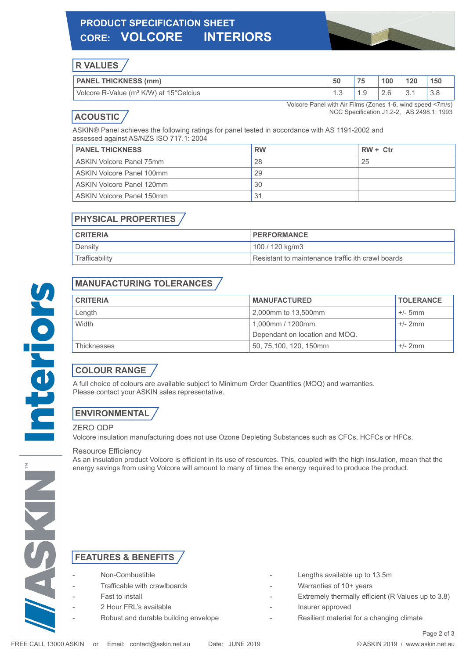# **PRODUCT SPECIFICATION SHEET CORE: VOLCORE INTERIORS**



## **R VALUES**

| <b>PANEL THICKNESS (mm)</b>                        | 50  | フロ | 00  | 120 | 150 |
|----------------------------------------------------|-----|----|-----|-----|-----|
| Volcore R-Value (m <sup>2</sup> K/W) at 15°Celcius | . ت |    | Z.U | U.  |     |

## **ACOUSTIC**

Volcore Panel with Air Films (Zones 1-6, wind speed <7m/s) NCC Specification J1.2-2, AS 2498.1: 1993

ASKIN® Panel achieves the following ratings for panel tested in accordance with AS 1191-2002 and assessed against AS/NZS ISO 717.1: 2004

| <b>PANEL THICKNESS</b>    | <b>RW</b> | $RW + Ctr$ |
|---------------------------|-----------|------------|
| ASKIN Volcore Panel 75mm  | 28        | 25         |
| ASKIN Volcore Panel 100mm | 29        |            |
| ASKIN Volcore Panel 120mm | 30        |            |
| ASKIN Volcore Panel 150mm | 31        |            |

## **PHYSICAL PROPERTIES**

| <b>CRITERIA</b> | PERFORMANCE                                       |
|-----------------|---------------------------------------------------|
| Density         | 100 / 120 kg/m3                                   |
| Trafficability  | Resistant to maintenance traffic ith crawl boards |

## **MANUFACTURING TOLERANCES**

| <b>CRITERIA</b> | <b>MANUFACTURED</b>            | <b>TOLERANCE</b> |
|-----------------|--------------------------------|------------------|
| Length          | 2,000mm to 13,500mm            | $+/-$ 5mm        |
| Width           | 1,000mm / 1200mm.              | $+/- 2mm$        |
|                 | Dependant on location and MOQ. |                  |
| Thicknesses     | 50, 75, 100, 120, 150mm        | $+/- 2mm$        |

## **COLOUR RANGE**

A full choice of colours are available subject to Minimum Order Quantities (MOQ) and warranties. Please contact your ASKIN sales representative.

## **ENVIRONMENTAL**

#### ZERO ODP

Volcore insulation manufacturing does not use Ozone Depleting Substances such as CFCs, HCFCs or HFCs.

#### Resource Efficiency

As an insulation product Volcore is efficient in its use of resources. This, coupled with the high insulation, mean that the energy savings from using Volcore will amount to many of times the energy required to produce the product.

### **FEATURES & BENEFITS**

- 
- 
- - -
- Non-Combustible **Non-Combustible 13.5m**
- Trafficable with crawlboards Trafficable with crawlboards **Fig. 100**
- Fast to install **Fast to install**  $\overline{B}$  Fast to install  $\overline{C}$  and  $\overline{D}$  Extremely thermally efficient (R Values up to 3.8)
- 2 Hour FRL's available  $\overline{a}$  and  $\overline{a}$  and  $\overline{a}$  are insurer approved
- Robust and durable building envelope **Ack Communist Communist Communist** Resilient material for a changing climate

Page 2 of 3